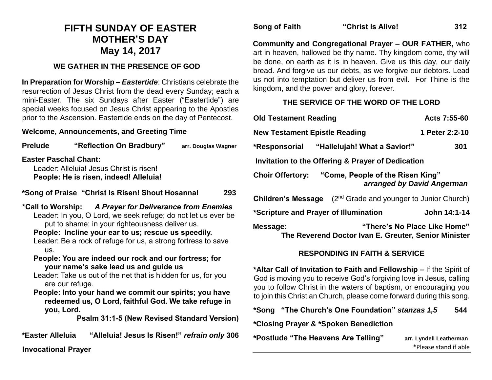## **FIFTH SUNDAY OF EASTER MOTHER'S DAY May 14, 2017**

#### **WE GATHER IN THE PRESENCE OF GOD**

**In Preparation for Worship –** *Eastertide*: Christians celebrate the resurrection of Jesus Christ from the dead every Sunday; each a mini-Easter. The six Sundays after Easter ("Eastertide") are special weeks focused on Jesus Christ appearing to the Apostles prior to the Ascension. Eastertide ends on the day of Pentecost.

#### **Welcome, Announcements, and Greeting Time**

| Prelude                              | "Reflection On Bradbury"                                                                                                                                                                                                                                                                                                                                                                                                                                                                                                                                                                                                                       | arr. Douglas Wagner |
|--------------------------------------|------------------------------------------------------------------------------------------------------------------------------------------------------------------------------------------------------------------------------------------------------------------------------------------------------------------------------------------------------------------------------------------------------------------------------------------------------------------------------------------------------------------------------------------------------------------------------------------------------------------------------------------------|---------------------|
| <b>Easter Paschal Chant:</b>         | Leader: Alleluia! Jesus Christ is risen!<br>People: He is risen, indeed! Alleluia!                                                                                                                                                                                                                                                                                                                                                                                                                                                                                                                                                             |                     |
|                                      | *Song of Praise "Christ Is Risen! Shout Hosanna!                                                                                                                                                                                                                                                                                                                                                                                                                                                                                                                                                                                               | 293                 |
| US.<br>are our refuge.<br>you, Lord. | *Call to Worship: A Prayer for Deliverance from Enemies<br>Leader: In you, O Lord, we seek refuge; do not let us ever be<br>put to shame; in your righteousness deliver us.<br>People: Incline your ear to us; rescue us speedily.<br>Leader: Be a rock of refuge for us, a strong fortress to save<br>People: You are indeed our rock and our fortress; for<br>your name's sake lead us and guide us<br>Leader: Take us out of the net that is hidden for us, for you<br>People: Into your hand we commit our spirits; you have<br>redeemed us, O Lord, faithful God. We take refuge in<br><b>Psalm 31:1-5 (New Revised Standard Version)</b> |                     |
| *Easter Alleluia                     | "Alleluia! Jesus Is Risen!" refrain only 306                                                                                                                                                                                                                                                                                                                                                                                                                                                                                                                                                                                                   |                     |

**Song of Faith "Christ Is Alive! 312**

**Community and Congregational Prayer – OUR FATHER,** who art in heaven, hallowed be thy name. Thy kingdom come, thy will be done, on earth as it is in heaven. Give us this day, our daily bread. And forgive us our debts, as we forgive our debtors. Lead us not into temptation but deliver us from evil. For Thine is the kingdom, and the power and glory, forever.

#### **THE SERVICE OF THE WORD OF THE LORD**

| <b>Old Testament Reading</b>                                                                     | Acts 7:55-60   |  |  |  |
|--------------------------------------------------------------------------------------------------|----------------|--|--|--|
| <b>New Testament Epistle Reading</b>                                                             | 1 Peter 2:2-10 |  |  |  |
| *Responsorial "Hallelujah! What a Savior!"                                                       | 301            |  |  |  |
| Invitation to the Offering & Prayer of Dedication                                                |                |  |  |  |
| Choir Offertory: "Come, People of the Risen King"<br>arranged by David Angerman                  |                |  |  |  |
| <b>Children's Message</b> (2 <sup>nd</sup> Grade and younger to Junior Church)                   |                |  |  |  |
| *Scripture and Prayer of Illumination                                                            | John 14:1-14   |  |  |  |
| "There's No Place Like Home"<br>Message:<br>The Reverend Doctor Ivan E. Greuter, Senior Minister |                |  |  |  |

#### **RESPONDING IN FAITH & SERVICE**

**\*Altar Call of Invitation to Faith and Fellowship –** If the Spirit of God is moving you to receive God's forgiving love in Jesus, calling you to follow Christ in the waters of baptism, or encouraging you to join this Christian Church, please come forward during this song.

| *Song "The Church's One Foundation" <i>stanzas 1,5</i> | 544 |  |
|--------------------------------------------------------|-----|--|
|--------------------------------------------------------|-----|--|

**\*Closing Prayer & \*Spoken Benediction**

**\*Postlude "The Heavens Are Telling" arr. Lyndell Leatherman**

**Invocational Prayer**